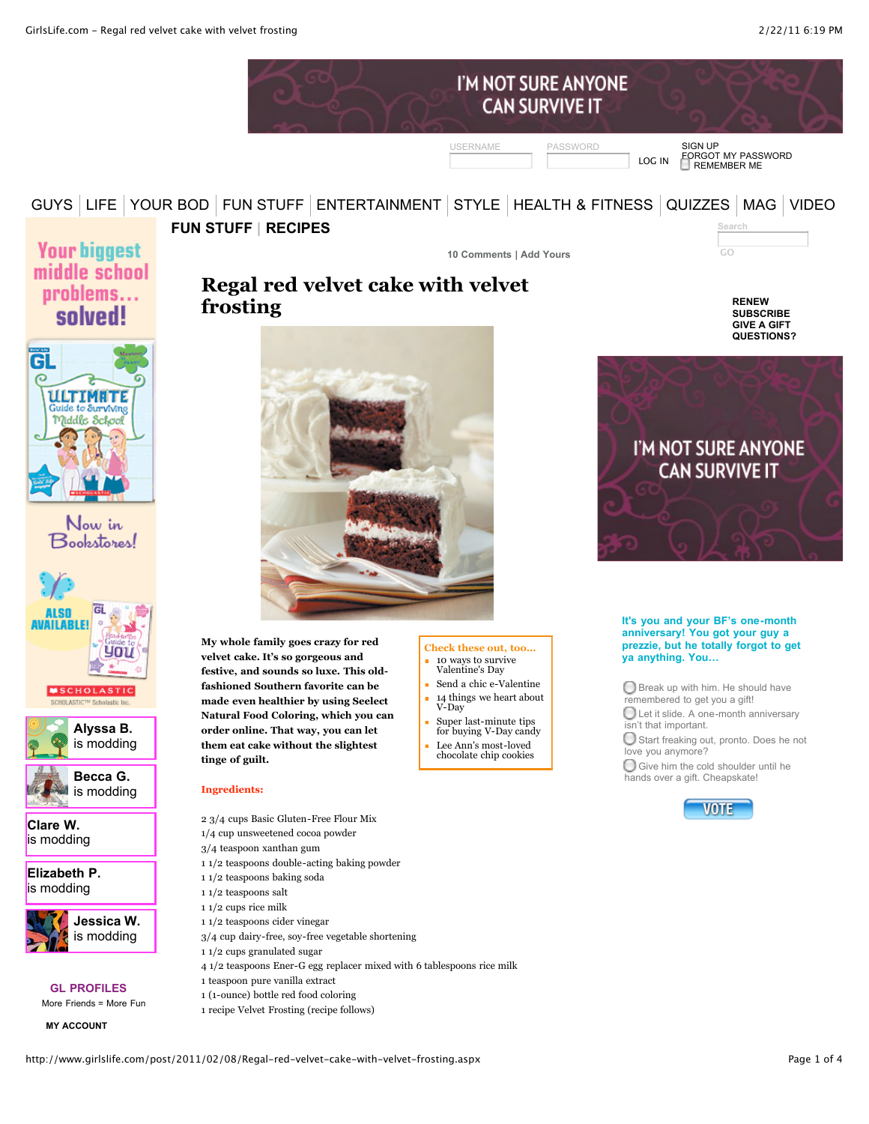| I'M NOT SURE ANYONE<br><b>CAN SURVIVE IT</b> |        |                                                                   |
|----------------------------------------------|--------|-------------------------------------------------------------------|
| <b>USERNAME</b><br>PASSWORD                  | LOG IN | <b>SIGN UP</b><br><b>EORGOT MY PASSWORD</b><br><b>REMEMBER ME</b> |

## [GUYS](http://www.girlslife.com/category/guys.aspx) [LIFE](http://www.girlslife.com/category/life.aspx) [YOUR BOD](http://www.girlslife.com/category/body.aspx) [FUN STUFF](http://www.girlslife.com/category/fun-stuff.aspx) [ENTERTAINMENT](http://www.girlslife.com/category/entertainment.aspx) [STYLE](http://www.girlslife.com/category/style-beauty.aspx) [HEALTH & FITNESS](http://www.girlslife.com/category/health-and-fitness.aspx) [QUIZZES](http://www.girlslife.com/category/quizzes.aspx) [MAG](http://www.girlslife.com/category/magazine.aspx) [VIDEO](http://www.girlslife.com/Videos.aspx)

## **[FUN STUFF](http://www.girlslife.com/category/fun-stuff.aspx) | [RECIPES](http://www.girlslife.com/category/recipes.aspx)**

**[10 Comments](http://www.girlslife.com/comments/2011/02/08/Regal-red-velvet-cake-with-velvet-frosting.aspx) | [Add Yours](http://www.girlslife.com/comments/2011/02/08/Regal-red-velvet-cake-with-velvet-frosting.aspx#add)**

**Search**

**[RENEW](https://secure.girlslife.com/RenewSub.aspx) [SUBSCRIBE](https://secure.girlslife.com/) [GIVE A GIFT](https://secure.girlslife.com/GiftSub.aspx) [QUESTIONS?](http://www.girlslife.com/page/contact.aspx)**

**Your biggest** middle school problems... solved!



Now in Bookstores!







**[Clare W.](http://www.girlslife.com/ViewProfile.aspx?u=Clare%20W.)** is modding

**[Elizabeth P.](http://www.girlslife.com/ViewProfile.aspx?u=Elizabeth%20P.)** is modding



### **GL PROFILES**

More Friends = More Fun

**[MY ACCOUNT](http://www.girlslife.com/MyAccount.aspx)**



**[Regal red velvet cake with velvet](http://www.girlslife.com/post/2011/02/08/Regal-red-velvet-cake-with-velvet-frosting.aspx)**

**My whole family goes crazy for red velvet cake. It's so gorgeous and festive, and sounds so luxe. This oldfashioned Southern favorite can be made even healthier by using Seelect Natural Food Coloring, which you can order online. That way, you can let them eat cake without the slightest tinge of guilt.**

#### **Ingredients:**

- 2 3/4 cups Basic Gluten-Free Flour Mix
- 1/4 cup unsweetened cocoa powder
- 3/4 teaspoon xanthan gum
- 1 1/2 teaspoons double-acting baking powder
- 1 1/2 teaspoons baking soda
- 1 1/2 teaspoons salt
- 1 1/2 cups rice milk
- 1 1/2 teaspoons cider vinegar
- 3/4 cup dairy-free, soy-free vegetable shortening
- 1 1/2 cups granulated sugar
- 4 1/2 teaspoons Ener-G egg replacer mixed with 6 tablespoons rice milk
- 1 teaspoon pure vanilla extract
- 1 (1-ounce) bottle red food coloring
- 1 recipe Velvet Frosting (recipe follows)
- **Check these out, too...** [10 ways to survive](http://www.girlslife.com/post/2011/02/10/10-ways-to-survive-Valentines-Day.aspx)
- Valentine's Day [Send a chic e-Valentine](http://www.girlslife.com/post/2011/02/10/Send-a-chic-e-Valentine.aspx) Ĥ.
- $\blacksquare$ [14 things we heart about](http://www.girlslife.com/post/2011/02/10/14-things-we-heart-about-V-Day.aspx) V-Day
- Ė Super last-minute tips [for buying V-Day candy](http://www.girlslife.com/post/2011/02/14/last-minute-tips-buying-vday-candy.aspx)
- Lee Ann's most-loved [chocolate chip cookies](http://www.girlslife.com/post/2011/02/22/Lee-Anns-most-loved-chocolate-chip-cookies.aspx)



#### **It's you and your BF's one-month anniversary! You got your guy a prezzie, but he totally forgot to get ya anything. You…**

**D** Break up with him. He should have remembered to get you a gift!

Let it slide. A one-month anniversary isn't that important.

Start freaking out, pronto. Does he not love you anymore?

Give him the cold shoulder until he hands over a gift. Cheapskate!



http://www.girlslife.com/post/2011/02/08/Regal-red-velvet-cake-with-velvet-frosting.aspx Page 1 of 4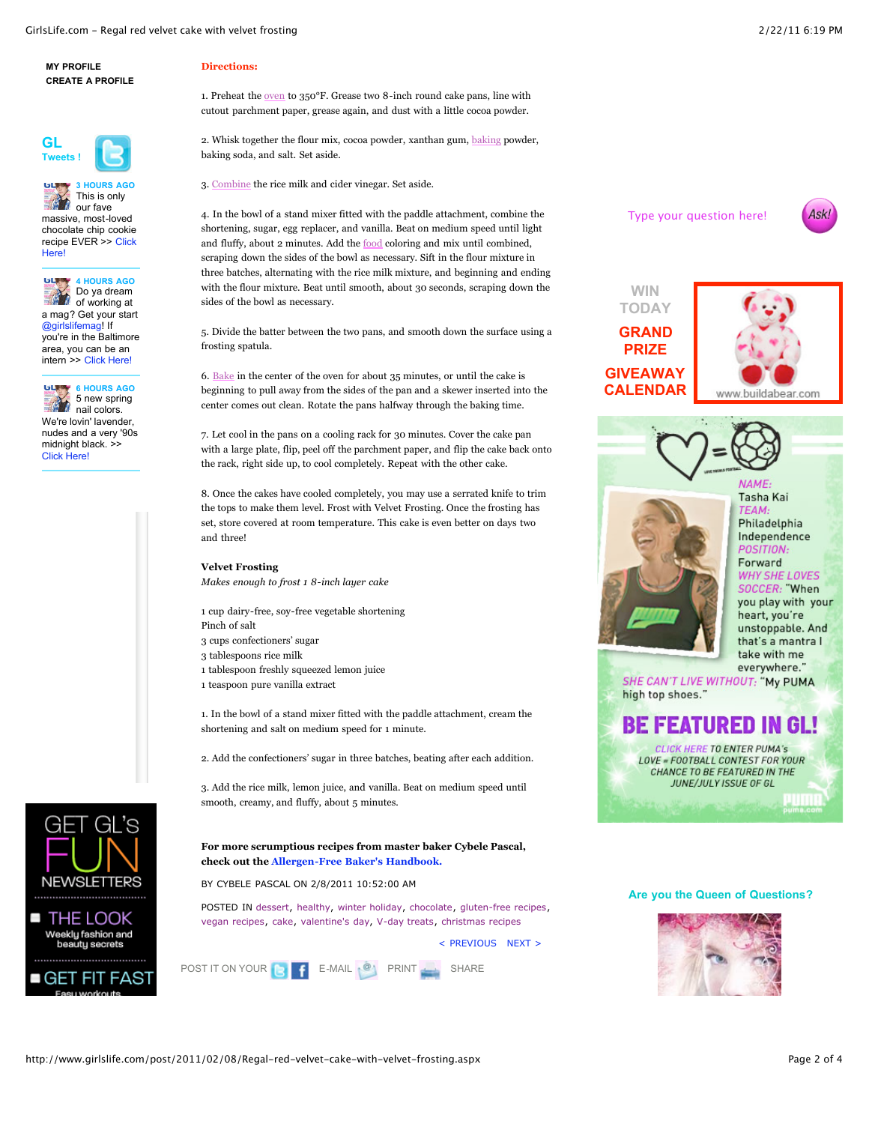



**6 HOURS AGO** ыm 5 new spring **nail** colors. We're lovin' lavender, nudes and a very '90s midnight black. >> [Click Here!](http://ow.ly/41ekt)



#### **Directions:**

1. Preheat the [oven](http://www.girlslife.com/post/2011/02/08/Regal-red-velvet-cake-with-velvet-frosting.aspx#) to 350°F. Grease two 8-inch round cake pans, line with cutout parchment paper, grease again, and dust with a little cocoa powder.

2. Whisk together the flour mix, cocoa powder, xanthan gum, [baking](http://www.girlslife.com/post/2011/02/08/Regal-red-velvet-cake-with-velvet-frosting.aspx#) powder, baking soda, and salt. Set aside.

3. [Combine](http://www.girlslife.com/post/2011/02/08/Regal-red-velvet-cake-with-velvet-frosting.aspx#) the rice milk and cider vinegar. Set aside.

4. In the bowl of a stand mixer fitted with the paddle attachment, combine the shortening, sugar, egg replacer, and vanilla. Beat on medium speed until light and fluffy, about 2 minutes. Add the [food](http://www.girlslife.com/post/2011/02/08/Regal-red-velvet-cake-with-velvet-frosting.aspx#) coloring and mix until combined, scraping down the sides of the bowl as necessary. Sift in the flour mixture in three batches, alternating with the rice milk mixture, and beginning and ending with the flour mixture. Beat until smooth, about 30 seconds, scraping down the sides of the bowl as necessary.

5. Divide the batter between the two pans, and smooth down the surface using a frosting spatula.

6. [Bake](http://www.girlslife.com/post/2011/02/08/Regal-red-velvet-cake-with-velvet-frosting.aspx#) in the center of the oven for about 35 minutes, or until the cake is beginning to pull away from the sides of the pan and a skewer inserted into the center comes out clean. Rotate the pans halfway through the baking time.

7. Let cool in the pans on a cooling rack for 30 minutes. Cover the cake pan with a large plate, flip, peel off the parchment paper, and flip the cake back onto the rack, right side up, to cool completely. Repeat with the other cake.

8. Once the cakes have cooled completely, you may use a serrated knife to trim the tops to make them level. Frost with Velvet Frosting. Once the frosting has set, store covered at room temperature. This cake is even better on days two and three!

#### **Velvet Frosting**

*Makes enough to frost 1 8-inch layer cake*

1 cup dairy-free, soy-free vegetable shortening Pinch of salt

- 3 cups confectioners' sugar
- 3 tablespoons rice milk
- 1 tablespoon freshly squeezed lemon juice
- 1 teaspoon pure vanilla extract

1. In the bowl of a stand mixer fitted with the paddle attachment, cream the shortening and salt on medium speed for 1 minute.

2. Add the confectioners' sugar in three batches, beating after each addition.

3. Add the rice milk, lemon juice, and vanilla. Beat on medium speed until smooth, creamy, and fluffy, about 5 minutes.

**For more scrumptious recipes from master baker Cybele Pascal, check out the [Allergen-Free Baker's Handbook.](http://www.amazon.com/Allergen-Free-Bakers-Handbook-Cybele-Pascal/dp/1587613484)**

BY CYBELE PASCAL ON 2/8/2011 10:52:00 AM

POSTED IN [dessert](http://www.girlslife.com/tag/dessert.aspx), [healthy,](http://www.girlslife.com/tag/healthy.aspx) [winter holiday,](http://www.girlslife.com/tag/winter-holiday.aspx) [chocolate](http://www.girlslife.com/tag/chocolate.aspx), [gluten-free recipes](http://www.girlslife.com/tag/gluten-free-recipes.aspx), [vegan recipes,](http://www.girlslife.com/tag/vegan-recipes.aspx) [cake,](http://www.girlslife.com/tag/cake.aspx) [valentine's day](http://www.girlslife.com/tag/valentine), [V-day treats](http://www.girlslife.com/tag/v-day-treats.aspx), [christmas recipes](http://www.girlslife.com/tag/christmas-recipes.aspx)

[< PREVIOUS](http://www.girlslife.com/post/2011/02/22/Lee-Anns-most-loved-chocolate-chip-cookies.aspx) [NEXT >](http://www.girlslife.com/post/2011/02/01/Fantastic-flourless-chocolate-cake.aspx) 

POST IT ON YOUR **PRINT A** E-MAIL **PRINT A** SHARE



Type your question here!

**WIN [TODAY](http://www.girlslife.com/giveaway/love-bear-build-a-bear.aspx)**

> Tasha Kai Philadelphia Independence POSITION Forward **WHY SHE LOVES** SOCCER: "When you play with your heart, you're unstoppable. And that's a mantra I take with me everywhere.'

SHE CAN'T LIVE WITHOUT: "My PUMA high top shoes."

# **BE FEATURED IN GL!**

**CLICK HERE TO ENTER PUMA's** LOVE = FOOTBALL CONTEST FOR YOUR CHANCE TO BE FEATURED IN THE JUNE/JULY ISSUE OF GL

#### **Are you the Queen of Questions?**

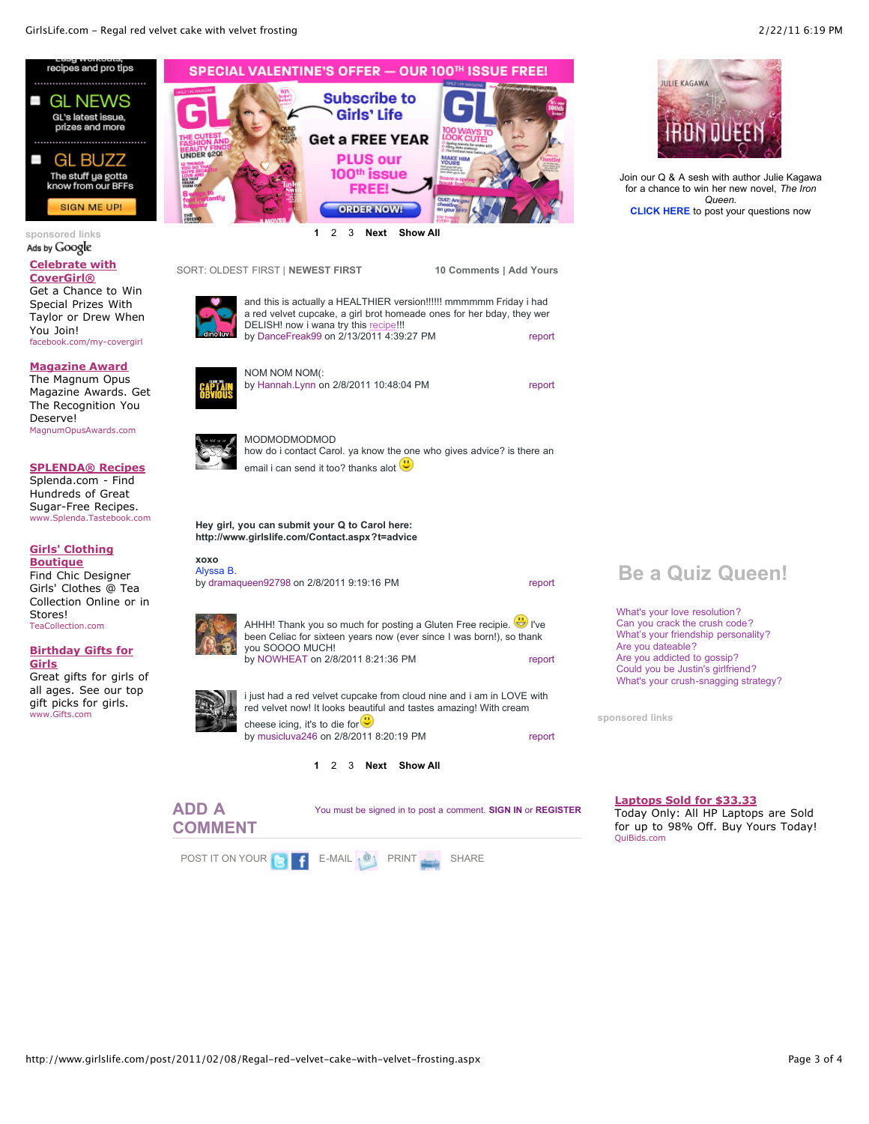

**sponsored links**

▅

#### **[Celebrate with](http://googleads.g.doubleclick.net/aclk?sa=L&ai=BOfsIkW5kTZSDJYOajQTV752qC_ao0-oB3pLKthrAjbcB0MtpEAEYASDnxukHKAU4AFCFu-WA-_____8BYMm-g4fIo5AZsgERd3d3LmdpcmxzbGlmZS5jb226AQoxNjB4NjAwX2FzyAEB2gFYaHR0cDovL3d3dy5naXJsc2xpZmUuY29tL3Bvc3QvMjAxMS8wMi8wOC9SZWdhbC1yZWQtdmVsdmV0LWNha2Utd2l0aC12ZWx2ZXQtZnJvc3RpbmcuYXNweIACAcgCpt6FE6gDAcgDF-gDiwfoA3r1AwAAAMQ&num=1&sig=AGiWqtzkLGbmTvHGynx_DlqAttmez_zGUA&client=ca-pub-6157011787518638&adurl=http://www.facebook.com/covergirl%3Fv%3Dapp_160134610689223) CoverGirl®**

Get a Chance to Win Special Prizes With Taylor or Drew When You Join! facebook.com/my-covergirl

#### **[Magazine Award](http://googleads.g.doubleclick.net/aclk?sa=L&ai=BOzkekW5kTZSDJYOajQTV752qC_2Cjf4Bra-ojiDAjbcB0OE4EAIYAiDnxukHKAU4AFDc_63OB2DJvoOHyKOQGbIBEXd3dy5naXJsc2xpZmUuY29tugEKMTYweDYwMF9hc8gBAdoBWGh0dHA6Ly93d3cuZ2lybHNsaWZlLmNvbS9wb3N0LzIwMTEvMDIvMDgvUmVnYWwtcmVkLXZlbHZldC1jYWtlLXdpdGgtdmVsdmV0LWZyb3N0aW5nLmFzcHioAwHIAxfoA4sH6AN69QMAAADE&num=2&sig=AGiWqtwVS7f3VHT_HH0qmWG2aXtcBARyKw&client=ca-pub-6157011787518638&adurl=http://www.magnumopusawards.com/)**

The Magnum Opus Magazine Awards. Get The Recognition You Deserve! MagnumOpusAwards.com

## **[SPLENDA® Recipes](http://googleads.g.doubleclick.net/aclk?sa=l&ai=BJf64kW5kTZSDJYOajQTV752qC-2i3O0B9dXB9hTAjbcBkNYnEAMYAyDnxukHKAU4AFCJ_YevAWDJvoOHyKOQGaAB0d7n8AOyARF3d3cuZ2lybHNsaWZlLmNvbboBCjE2MHg2MDBfYXPIAQHaAVhodHRwOi8vd3d3LmdpcmxzbGlmZS5jb20vcG9zdC8yMDExLzAyLzA4L1JlZ2FsLXJlZC12ZWx2ZXQtY2FrZS13aXRoLXZlbHZldC1mcm9zdGluZy5hc3B4yALNz7kXqAMByAMX6AOLB-gDevUDAAAAxA&num=3&sig=AGiWqtwIPVSruasvUD3tZw8qP7WWh7Jkpw&client=ca-pub-6157011787518638&adurl=http://clickserve.us2.dartsearch.net/link/click%3Flid%3D43000000094767418%26ds_s_kwgid%3D58000000001148667%26ds_e_adid%3D5517291293%26ds_e_matchtype%3Dcontent%26ds_url_v%3D2)**

Splenda.com - Find Hundreds of Great Sugar-Free Recipes. www.Splenda.Tastebook.com

### **[Girls' Clothing](http://googleads.g.doubleclick.net/aclk?sa=l&ai=BaEiskW5kTZSDJYOajQTV752qC62q3O0B7bD3uBbAjbcBkMcsEAQYBCDnxukHKAU4AFC-i9nB_f____8BYMm-g4fIo5AZoAGr8vn4A7IBEXd3dy5naXJsc2xpZmUuY29tugEKMTYweDYwMF9hc8gBAdoBWGh0dHA6Ly93d3cuZ2lybHNsaWZlLmNvbS9wb3N0LzIwMTEvMDIvMDgvUmVnYWwtcmVkLXZlbHZldC1jYWtlLXdpdGgtdmVsdmV0LWZyb3N0aW5nLmFzcHiAAgGoAwHIAxfoA4sH6AN69QMAAADE&num=4&sig=AGiWqtyTfBTW5hCgAk8fkVfpyxbRp5mfNA&client=ca-pub-6157011787518638&adurl=http://www.teacollection.com/baby-clothes/view-all)**

**Boutique** Find Chic Designer Girls' Clothes @ Tea Collection Online or in Stores! TeaCollection.com

#### **[Birthday Gifts for](http://googleads.g.doubleclick.net/aclk?sa=l&ai=BCV7IkW5kTZSDJYOajQTV752qC-ikooQBmOTSqRfAjbcBwO0aEAUYBSDnxukHKAU4AFD47YuA-f____8BYMm-g4fIo5AZoAHE85L-A7IBEXd3dy5naXJsc2xpZmUuY29tugEKMTYweDYwMF9hc8gBAdoBWGh0dHA6Ly93d3cuZ2lybHNsaWZlLmNvbS9wb3N0LzIwMTEvMDIvMDgvUmVnYWwtcmVkLXZlbHZldC1jYWtlLXdpdGgtdmVsdmV0LWZyb3N0aW5nLmFzcHiAAgHIAqi8khmoAwHIAxfoA4sH6AN69QMAAADE&num=5&sig=AGiWqtxnhFyZCk9vfZnhBmgNFOleW8w49A&client=ca-pub-6157011787518638&adurl=http://www.gifts.com/birthday/girl/NwxuJr%3Fsid%3Dgoogle:CNT_BDY_People%2520-%2520Girl_www.girlslife.com:P) Girls**

Great gifts for girls of all ages. See our top gift picks for girls. www.Gifts.com



DELISH! now i wana try this [recipe!](http://www.girlslife.com/post/2011/02/08/Regal-red-velvet-cake-with-velvet-frosting.aspx#)!! by [DanceFreak99](http://www.girlslife.com/ViewProfile.aspx?u=DanceFreak99) on 2/13/2011 4:39:27 PM

by [Hannah.Lynn](http://www.girlslife.com/ViewProfile.aspx?u=Hannah.Lynn) on 2/8/2011 10:48:04 PM

NOM NOM NOM(:

SORT: [OLDEST FIRST](http://www.girlslife.com/post/2011/02/08/Regal-red-velvet-cake-with-velvet-frosting.aspx?cp=1&s=o) | **NEWEST FIRST**



and this is actually a HEALTHIER version!!!!!! mmmmmm Friday i had a red velvet cupcake, a girl brot homeade ones for her bday, they wer



[report](http://www.girlslife.com/post/2011/02/08/Regal-red-velvet-cake-with-velvet-frosting.aspx) i just had a red velvet cupcake from cloud nine and i am in LOVE with red velvet now! It looks beautiful and tastes amazing! With cream cheese icing, it's to die for  $\bigcirc$ by [musicluva246](http://www.girlslife.com/ViewProfile.aspx?u=musicluva246) on 2/8/2011 8:20:19 PM

**[1](http://www.girlslife.com/post/2011/02/08/Regal-red-velvet-cake-with-velvet-frosting.aspx?cp=1#comments)** [2](http://www.girlslife.com/post/2011/02/08/Regal-red-velvet-cake-with-velvet-frosting.aspx?cp=2#comments) [3](http://www.girlslife.com/post/2011/02/08/Regal-red-velvet-cake-with-velvet-frosting.aspx?cp=3#comments) **[Next](http://www.girlslife.com/post/2011/02/08/Regal-red-velvet-cake-with-velvet-frosting.aspx?cp=2#comments) [Show All](http://www.girlslife.com/post/2011/02/08/Regal-red-velvet-cake-with-velvet-frosting.aspx?cp=all#comments)**





Join our Q & A sesh with author Julie Kagawa for a chance to win her new novel, *The Iron Queen.* **[CLICK HERE](http://www.girlslife.com/post/2011/02/15/GLs-Queen-of-Questions-with-top-author-Julie-Kagawa.aspx)** to post your questions now

## **Be a Quiz Queen!**

[What's your love resolution?](http://www.girlslife.com/quiz/2010/12/24/whats-your-love-resolution.aspx) [Can you crack the crush code?](http://www.girlslife.com/quiz/2010/04/05/Cracking-the-Crush-Code.aspx) [What's your friendship personality?](http://www.girlslife.com/quiz/2010/02/28/whats-your-friendship-groove.aspx) [Are you dateable?](http://www.girlslife.com/quiz/2010/01/27/are-you-dateable.aspx) [Are you addicted to gossip?](http://www.girlslife.com/quiz/2009/11/15/quiz-do-you-gossip.aspx) [Could you be Justin's girlfriend?](http://www.girlslife.com/quiz/2011/02/14/could-you-be-justins-girlfriend.aspx) [What's your crush-snagging strategy?](http://www.girlslife.com/quiz/2011/01/28/crush-snagging-strategy.aspx)

**sponsored links**

[report](http://www.girlslife.com/post/2011/02/08/Regal-red-velvet-cake-with-velvet-frosting.aspx)

**10 Comments | [Add Yours](http://www.girlslife.com/post/2011/02/08/Regal-red-velvet-cake-with-velvet-frosting.aspx#add)**

[report](http://www.girlslife.com/post/2011/02/08/Regal-red-velvet-cake-with-velvet-frosting.aspx)

#### **[Laptops Sold for \\$33.33](http://googleads.g.doubleclick.net/aclk?sa=l&ai=BPORBkW5kTcngI5najQTfwdnIAoSyk-AB3PiC4BX057_qMaDvDxABGAEg58bpBzgAUOmWqrf4_____wFgyb6Dh8ijkBmgAb6xousDsgERd3d3LmdpcmxzbGlmZS5jb226AQozMDB4MjUwX2FzyAEB2gFYaHR0cDovL3d3dy5naXJsc2xpZmUuY29tL3Bvc3QvMjAxMS8wMi8wOC9SZWdhbC1yZWQtdmVsdmV0LWNha2Utd2l0aC12ZWx2ZXQtZnJvc3RpbmcuYXNweOABAvgBAYACAcACAcgCzLS8F6gDAcgDF-gDiwfoA3r1AwAAAMQ&num=1&sig=AGiWqtwVUyowpvIw8nRAxnKMKaObZSIgSA&client=ca-pub-6157011787518638&adurl=http://track.quibids.com/tracking202/redirect/dl.php%3Ft202id%3D31561%26t202kw%3D)** Today Only: All HP Laptops are Sold for up to 98% Off. Buy Yours Today! QuiBids.com